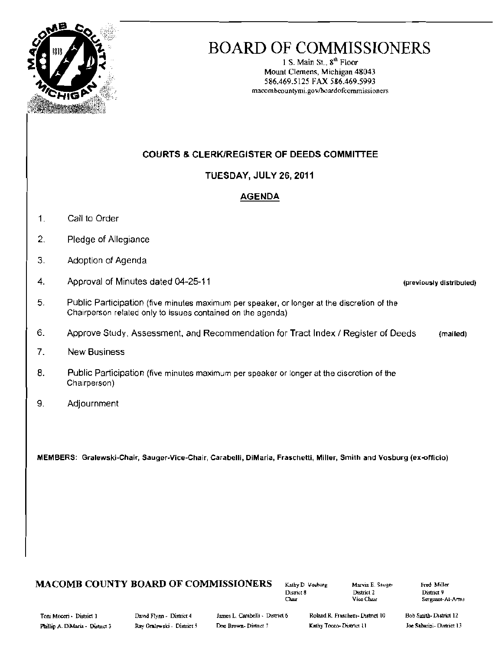

## **BOARD OF COMMISSIONERS**

1 S. Main St., 8<sup>th</sup> Floor Mount Clemens, Michigan 48043 586.469.5125 FAX 586.469.5993 macombeountymi.gov/hoardofcommissioners

### **COURTS & CLERK/REGISTER OF DEEDS COMMITTEE**

### **TUESDAY, JULY 26, 2011**

### **AGENDA**

- $\mathbf{1}$ . Call to Order
- $\overline{2}$ . Pledge of Allegiance
- 3. Adoption of Agenda
- $\overline{4}$ . Approval of Minutes dated 04-25-11
- $5.$ Public Participation (five minutes maximum per speaker, or longer at the discretion of the Chairperson related only to issues contained on the agenda)
- 6. Approve Study, Assessment, and Recommendation for Tract Index / Register of Deeds (mailed)
- $7<sub>1</sub>$ **New Business**
- 8. Public Participation (five minutes maximum per speaker or longer at the discretion of the Chairperson)
- $9.$ Adjournment

MEMBERS: Gralewski-Chair, Sauger-Vice-Chair, Carabelli, DiMaria, Fraschetti, Miller, Smith and Vosburg (ex-officio)

### **MACOMB COUNTY BOARD OF COMMISSIONERS**

Kathy D Vosburg District 8 Char

Marvin E. Sauger District 2 Vice Char

Fred Miller District 9 Sergeant-At-Arms

(previously distributed)

Tom Moceri - District 1 Phillip A. DiMaria - District 3 David Flynn - District 4 Ray Gralewski - District 5

James L. Carabelli - District 6 Don Brown-District 7

Roland R. Fraschetti- District 10 Kathy Tocco-District (1)

Bob Smith-District 12 Joe Sabarini- District 13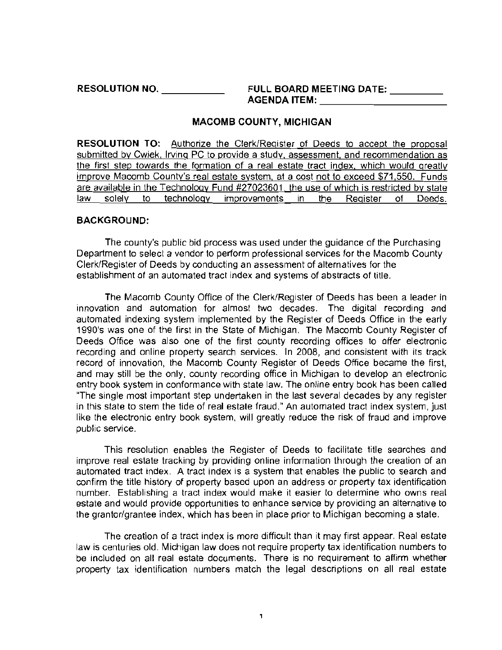RESOLUTION NO. \_ FULL BOARD MEETING DATE: \_ AGENDA ITEM: \_

#### MACOMB COUNTY, MICHIGAN

RESOLUTION TO: Authorize the Clerk/Register of Deeds to accept the proposal submitted by Cwiek, Irving PC to provide a study, assessment, and recommendation as the first step towards the formation of a real estate tract index, which would greatly improve Macomb County's real estate system, at a cost not to exceed \$71,550. Funds are available in the Technology Fund #27023601, the use of which is restricted by state law solely to technology improvements in the Register of Deeds.

### BACKGROUND:

The county's public bid process was used under the guidance of the Purchasing Department to select a vendor to perform professional services for the Macomb County Clerk/Register of Deeds by conducting an assessment of alternatives for the establishment af an automated tract index and systems of abstracts of title.

The Macomb County Office of the Clerk/Register of Deeds has been a leader in innovation and automation for almost two decades. The digital recording and automated indexing system implemented by the Register of Deeds Office in the early 1990's was one of the first in the State of Michigan. The Macomb County Register of Deeds Office was also One of the first county recording offices to offer electronic recording and online property search services. In 2008, and consistent with its track record of innovation, the Macomb County Register of Deeds Office became the first, and may still be the only, county recording office in Michigan to develop an electronic entry book system in conformance with state law. The online entry book has been called "The single most important step undertaken in the last several decades by any register in this state to stem the tide of real estate fraud." An automated tract index system, just like the electronic entry book system, will greatly reduce the risk of fraud and improve public service.

This resolution enables the Register of Deeds to facilitate title searches and improve real estate tracking by providing online information through the creation of an automated tract index. A tract index is a system that enables the public to search and confirm the title history of property based upon an address or property tax identification number. Establishing a tract index would make it easier to determine who owns real estate and would provide opportunities to enhance service by providing an alternative to the grantor/grantee index, which has been in place prior to Michigan becoming a slale.

The creation of a tract index is more difficult than it may first appear. Real estate law is centuries old. Michigan law does not require property tax identification numbers to be included on all real estate documents. There is no requirement to affirm whether property tax identification numbers match the legal descriptions on all real estate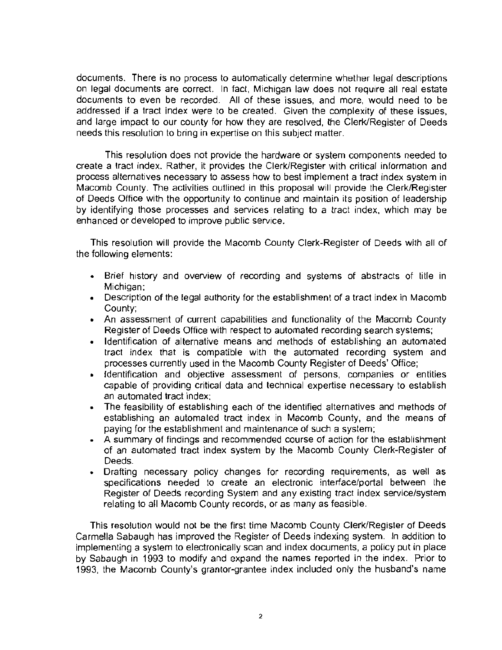documents. There is no process to automatically determine whether legal descriptions on legal documents are correct. In fact, Michigan law does not require all real estate documents to even be recorded. All of these issues, and more, would need to be addressed if a tract index were to be created. Given the complexity of these issues, and large impact to our county for how they are resolved, the Clerk/Register of Deeds needs this resolution to bring in expertise on this subject matter.

This resolution does not provide the hardware or system components needed to create a tract index. Rather, it provides the Clerk/Register with critical information and process alternatives necessary to assess how to best implement a tract index system in Macomb County, The activities outlined in this proposal will provide the Clerk/Register of Deeds Office with the opportunity to continue and maintain its position of leadership by identifying those processes and services relating to a tract index, which may be enhanced or developed to improve public service.

This resolution will provide the Macomb County Clerk-Register of Deeds with all of the following elements:

- • Brief history and overview of recording and systems of abstracts of title in Michigan;
- • Description of the legal authority for the establishment of a tract index in Macomb County;
- • An assessment of current capabilities and functionality of the Macomb County Register of Deeds Office with respect to automated recording search systems;
- • Identification of alternative means and methods of establishing an automated tract index that is compatible with the automated recording system and processes currently used in the Macomb County Register of Deeds' Office;
- • Identification and objective assessment of persons, companies or entities capable of providing critical data and technical expertise necessary to establish an automated tract index;
- The feasibility of establishing each of the identified alternatives and methods of establishing an automated tract index in Macomb County, and the means of paying for the establishment and maintenance of such a system;
- • A summary of findings and recommended course of action for the establishment of an automated tract index system by the Macomb County Clerk-Register of Deeds.
- Drafting necessary policy changes for recording requirements, as well as specifications needed 10 create an electronic interface/portal between the Register of Deeds recording System and any existing tract index service/system relating to all Macomb County records, or as many as feasible.

This resolution would not be the first time Macomb County Clerk/Register of Deeds Carmella Sabaugh has improved the Register of Deeds indexing system. In addition to implementing a system to electronically scan and index documents, a policy put in place by Sabaugh in 1993 to modify and expand the names reported in the index. Prior to 1993, the Macomb County's grantor-grantee index included only the husband's name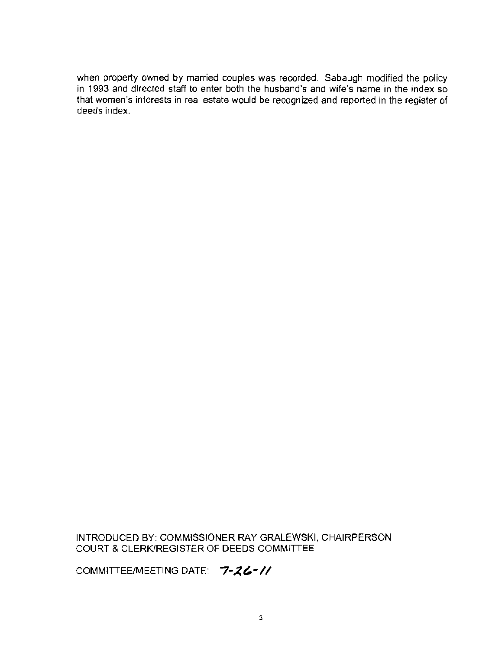**when property owned by married couples was recorded. Sabaugh modified the policy in 1993 and directed staff to enter both the husband's and wife's name in the index so that women's interests in real estate would be recognized and reported in the register of deeds index.** 

INTRODUCED BY: COMMISSIONER RAY GRALEWSKI, CHAIRPERSON COURT & CLERK/REGISTER OF DEEDS COMMITIEE

COMMITTEE/MEETING DATE:  $7 - 26 - 11$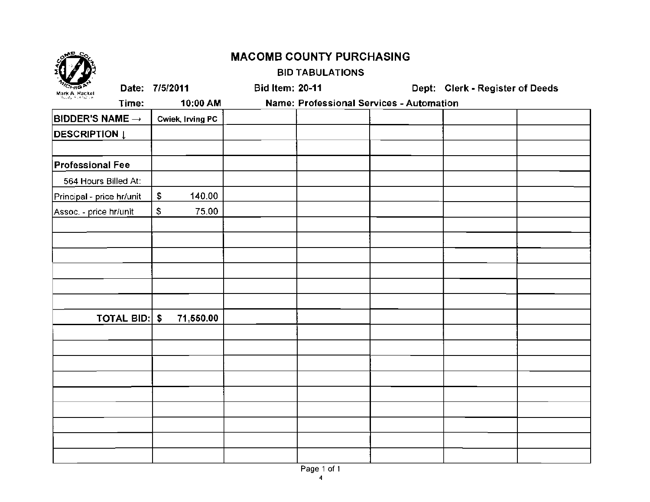| <b>MACOMB COUNTY PURCHASING</b>         |               |                         |                        |                                          |                                 |  |
|-----------------------------------------|---------------|-------------------------|------------------------|------------------------------------------|---------------------------------|--|
|                                         |               |                         | <b>BID TABULATIONS</b> |                                          |                                 |  |
| Mark A. Hackel<br>owds firencine        |               | Date: 7/5/2011          | <b>Bid Item: 20-11</b> |                                          | Dept: Clerk - Register of Deeds |  |
|                                         | Time:         | 10:00 AM                |                        | Name: Professional Services - Automation |                                 |  |
| $\mathsf{BIDDER}$ 'S NAME $\rightarrow$ |               | <b>Cwiek, Irving PC</b> |                        |                                          |                                 |  |
| <b>DESCRIPTION L</b>                    |               |                         |                        |                                          |                                 |  |
| <b>Professional Fee</b>                 |               |                         |                        |                                          |                                 |  |
| 564 Hours Billed At:                    |               |                         |                        |                                          |                                 |  |
| Principal - price hr/unit               |               | \$<br>140.00            |                        |                                          |                                 |  |
| Assoc. - price hr/unit                  |               | \$<br>75.00             |                        |                                          |                                 |  |
|                                         |               |                         |                        |                                          |                                 |  |
|                                         |               |                         |                        |                                          |                                 |  |
|                                         |               |                         |                        |                                          |                                 |  |
|                                         |               |                         |                        |                                          |                                 |  |
|                                         |               |                         |                        |                                          |                                 |  |
|                                         | TOTAL BID: \$ | 71,550.00               |                        |                                          |                                 |  |
|                                         |               |                         |                        |                                          |                                 |  |
|                                         |               |                         |                        |                                          |                                 |  |
|                                         |               |                         |                        |                                          |                                 |  |
|                                         |               |                         |                        |                                          |                                 |  |
|                                         |               |                         |                        |                                          |                                 |  |
|                                         |               |                         |                        |                                          |                                 |  |
|                                         |               |                         |                        |                                          |                                 |  |
|                                         |               |                         |                        |                                          |                                 |  |
|                                         |               |                         |                        |                                          |                                 |  |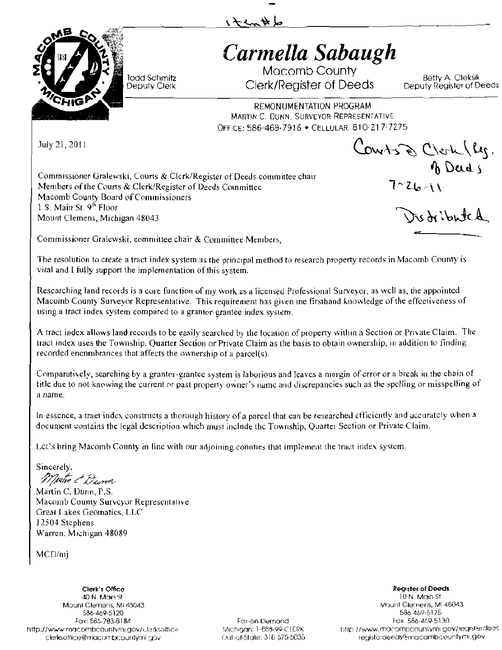

# *Carmella Sabaugh*

Macomb County Todd Sctlmifz Betty A Oleksik Clerk/Register of Deeds

REMONUMENTATION PROGRAM MARTIN C. DUNN. SURVEYOR REPRESENTATIVE OFFICE: 586-469-7916 • CELLULAR: 810-217-7275

July 21,2011

Commissioner Gralewski, Courts & Clerk/Register of Deeds committee chair  $\bigcirc$ Commissioner Gralewski, Courts & Clerk/Register of Deeds committee chair<br>
Members of the Courts & Clerk/Register of Deeds Counnittee<br>
Macomb County Board of Commissioners<br>
1 S. Main St. 9<sup>th</sup> Floor<br>
Mount Clemens, Michigan Macomb County Board of Commissioners 1 S. Main St. 9<sup>th</sup> Floor Mount Clemens, Michigan 48043

 $ConvH_{s}\otimes C_{\text{Vert}}(l_{1}).$ 

Commissioner Gralewskr, eommittee chair & Comminee Members,

The resolution to create a tract index system as the principal method to research property records in Macomb County is vital and I fully support the implementation of this system.

iten#6

Researching land records is a core function of mv work as a licensed Professional Survevor, as wcll as, the appointed Macomb County Surveyor Representative. This requirement has given me firsthand knowledge of the effectiveness of using a tract index system compared to a grantor-grantee index system.

A tract index allows land records to be easily searched by the location of property within a Section or Private Claim. The tract index uses the Township, Quarter Section or Private Claim *as* the basis to obtain ownership, in addition to finding recorded encnmbrances that affects the ownership ot a parcel(s).

Comparatively, searching by a grantor-grantee system is laborious and leaves a margin of error or a break in the chain of title due to not knowing the current or past property owner's name and discrepancies such as the spelling or misspelling of a name.

In essence, a traet index constructs a thorough history of a parcel that can be researched efficiently and accurately when a document contains the legal description which must inclnde thc Township, Quarter Section or Private Claim.

Lct's bring Macomb County in line with our adjoining connties that implement the tract index system.

Sincerely,

Martin & Dunn

Martin C. Dunn, P.5. Macomb County Surveyor Representative Great Lakes Geomatics, LLC 12504 Stephens Warren, Michigan 48089

MCD/mj

40 N, Main \$1 10 *n* Main St Mount Clemens, ML48043 . والمستقاد المستقدم المستقدم المستقدم المستقدم المستقدم المستقدم المستقدم المستقدم الم<br>1586-469-5175 . والمستقدم المستقدم المستقدم المستقدم المستقدم المستقدم المستقدم المستقدم المستقدم المستقدم الم Fax: 586-783-8184 Fox-on-Demond http://www.macombcounly.mi.gov/clerksoffice Michigan: 1-888-99-CLERK http://www.mo.combcountymi.gov/registerde@s derksorfice@mocombcounlymi DO',! ()ut0f·Slote: 31 o 575-tiJ35 regis1crdePd50.Jmacomb,:ountyml.gov

**Clerk's Office** Register of Deeds **Register of Deeds** 586-469-5120<br>- 175 - 175 - 175 - 176 - 176 - 176 - 176 - 176 - 176 - 176 - 176 - 176 - 176 - 176 - 176 - 176 - 176 - 176 -<br>- 176 - 187 - 188 - 189 - 189 - 189 - 189 - 189 - 189 - 189 - 189 - 189 - 189 - 189 - 189 - 189 -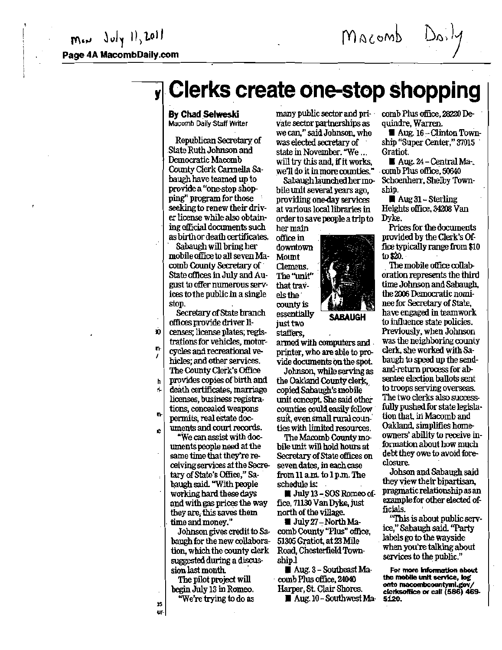Macomb

## y Clerks create one-stop shopping

#### By Chad Selweski Macomb Daily Staff Writer

Republican secretary of State Ruth Jobnson and Democratic Macomb Comly Clerk Cannella 8a. baugh have teamed up to providea "one-stop shopping" program for those seeking to renew their driver license while also obtaining official documents such as birthordeath certificates.

8abaugh will bring her mobile office to all seven Macomb County Secretary of State offices in July and August to offer numerous services to the public.in a single stop. .

Secretary of State branch offices provide driver Ii-

- $\mathbf{D}$ renses; license plates; regis-
- trationsfor vehicles, motor- $\mathbf{r}$ cycles and recreational ve-
- hicles; and other services. The County Clerk's Office
- h provides copies of birth and
- ;. death certificates, marriage licenses, business registrations, concealed weapons
- npennits, real estate dOc-
- e uments and court reoords.

"We can assist with documents people need at the same time that they're receiving services at the Secretary of State's Office," Sabaugh said. "With people working hard these days and with gas prices the way they are; thissaves them time and money."

Johnson gives credit to Sabaugh for the new collaboration, which the county clerk suggested during a discUssion last month.

begin July 13 in Romeo. Harper, St. Clair Shores.<br>"We're trying to do as  $\blacksquare$  Aug. 10 - Southwest

lS .cv'ate sector partnerships as we can," said Johnson, who was elected secretary of state in November. "We ... will try this and, if it works, we'll do it in more counties."<br>Sabaugh launched her mo-

bile unit several years ago, providing one-day services at various local libraries in ordertosavepoopleatripto her main

office in downtown Mount Clemens. The "unit" that trayels the· county is essentially SABAUGH just two staffers.



Johnson, while serving as the Oakland County clerk copied Sabaugh's mobile unit concept. She said other comties couldeasilyfollow· suit, even small rural counties with limited resources.

The Macomb County mobile unit will hold hours at SecretaryofState offices on seven dates, in each case from 11 am. to 1pm. The schedule is:

**UL** July 13 - SOS Romeo office, 71130 Van Dyke, just north of the village.

 $\blacksquare$  July 27 – North MacombCounty "Plus" office, 51305 Gratiot, at 23 Mile Road, Chesterfield Townshipl

The pilot project will comb Plus office. 24040 • Aug. 3- Southeast Ma·

"Meta Aug. 10 - Southwest Ma-

many public sector and pri- comb Plus office, 28220 Dequindre, Warren.

> $\blacksquare$  Aug. 16 – Clinton Township "Super Center," 37015 Gratiot.

• Aug. 24-CentralMa-. comb Plus office, 50640 Schoenherr, Shelby Township.

Aug  $31 -$ Sterling Heights office.342OB Van Dyke.

Prices for the documents provided by the Clerk's Offlee typically range from \$10 to  $$20.$ 

The mobile office collaboration represents the third time Johnson and Sabaugh, the 2005 Democratic nominee for Secretary of State, have engaged in teamwork to influence state policies. Previously, when Johnson was the neighboring county clerk, she worked with Sahaugh to speed up the sendand-return process for absentee election ballots sent to troops seiving overseas. The two clerks also successfully pushed for state legislation that, in Macomb and Oakland, simplifies homeowners' ability to receive information about how much debt they owe to avoid foreclosure.

Johson and 8ahaugh said they view their bipartisan. pragmaticrelationshipasan example for other elected officials.

"This is about public service," Sabaugh said. "Party . labels go to the wayside when you're talking about services to the public."

For more information about<br>the mobile unit service, log onto macombcountyml.gov/<br>clerksoftice or call (586) 469-5120.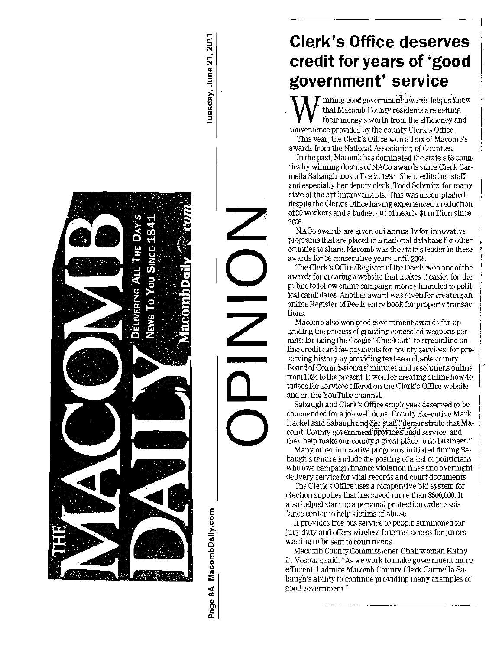

MacombDally.com

Page 8A

### **Clerk's Office deserves** credit for years of 'good government' service

 $\overline{\mathcal{T}}$  inning good government awards lets us know that Macomb County residents are getting their money's worth from the efficiency and convenience provided by the county Clerk's Office.

This year, the Clerk's Office won all six of Macomb's awards from the National Association of Counties.

In the past, Macomb has dominated the state's 83 counties by winning dozens of NACo awards since Clerk Carmella Sabaugh took office in 1993. She credits her staff and especially her deputy clerk. Todd Schmitz, for many state-of-the-art improvements. This was accomplished despite the Clerk's Office having experienced a reduction of 20 workers and a budget cut of nearly \$1 million since 2008.

NACo awards are given out annually for innovative programs that are placed in a national database for other counties to share. Macomb was the state's leader in these awards for 26 consecutive years until 2008.

The Clerk's Office/Register of the Deeds won one of the awards for creating a website that makes it easier for the public to follow online campaign money funneled to political candidates. Another award was given for creating an online Register of Deeds entry book for property transactions.

Macomb also won good government awards for upgrading the process of granting concealed weapons permits: for using the Google "Checkout" to streamline online credit card fee payments for county services: for preserving history by providing text-searchable county Board of Commissioners' minutes and resolutions online from 1924 to the present. It won for creating online how-to videos for services offered on the Clerk's Office website and on the YouTube channel.

Sabaugh and Clerk's Office employees deserved to be commended for a job well done. County Executive Mark Hackel said Sabaugh and her staff "demonstrate that Macomb County government provides good service, and they help make our county a great place to do business."

Many other innovative programs initiated during Sabaugh's tenure include the posting of a list of politicians who owe campaign finance violation fines and overnight delivery service for vital records and court documents.

The Clerk's Office uses a competitive bid system for election supplies that has saved more than \$500,000. It also helped start up a personal protection order assistance center to help victims of abuse.

It provides free bus service to people summoned for jury duty and offers wireless Internet access for jurors waiting to be sent to courtrooms.

Macomh County Commissioner Chairwoman Kathy D. Vosburg said, "As we work to make government more efficient. I admire Macomb County Clerk Carmella Sabaugh's ability to continue providing many examples of good government."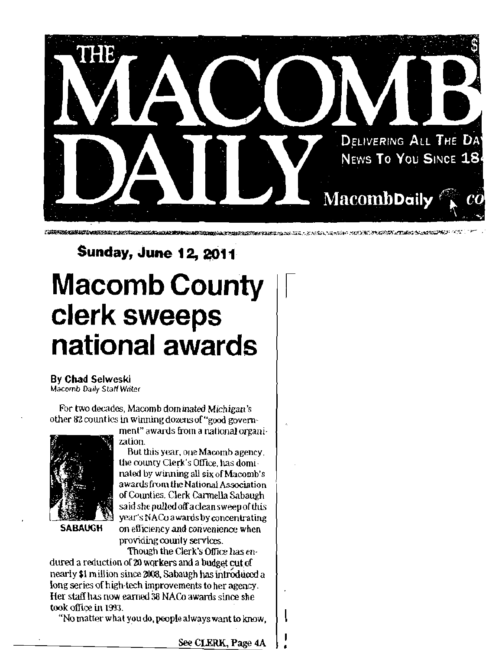

<u> a production de la composition de la composition de la composition de la composition de la composition de la c</u>

# **Sunday, June 12, 2011 Macomb County Clerk sweeps** national awards

### **By Chad Selweski**

Macomb Daily Staff Writer

For two decades, Macomb dominated Michigan's other 82 counties in winning dozens of "good govern-



**SABAUGH** 

ment" awards from a national organization.

But this year, one Macomb agency, the county Clerk's Office, has dominated by winning all six of Macomb's awards from the National Association of Counties. Clerk Carmella Sabaugh said she pulled off a clean sweep of this year's NACo awards by concentrating on efficiency and convenience when providing county services.

Though the Clerk's Office has endured a reduction of 20 workers and a budget cut of nearly \$1 million since 2008, Sabaugh has introduced a long series of high-tech improvements to her agency. Her staff has now earned 38 NACo awards since she took office in 1993.

"No matter what you do, people always want to know.

See CLERK, Page 4A